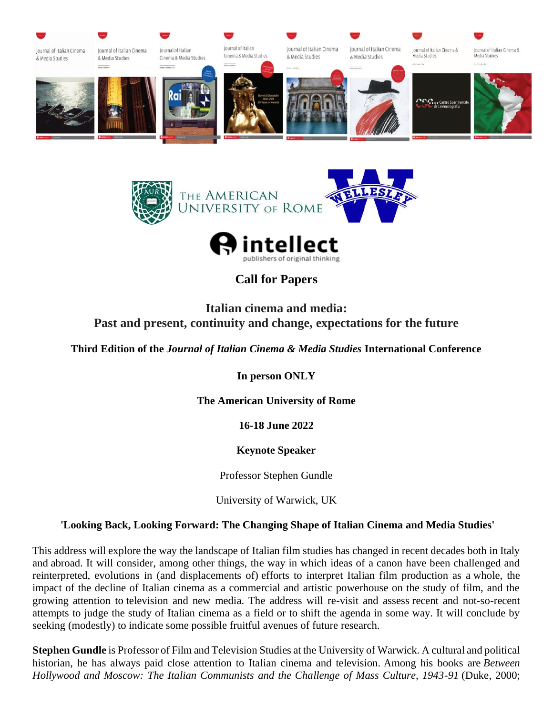





# **Call for Papers**

# **Italian cinema and media: Past and present, continuity and change, expectations for the future**

**Third Edition of the** *Journal of Italian Cinema & Media Studies* **International Conference**

**In person ONLY**

**The American University of Rome**

**16-18 June 2022**

**Keynote Speaker**

Professor Stephen Gundle

University of Warwick, UK

## **'Looking Back, Looking Forward: The Changing Shape of Italian Cinema and Media Studies'**

This address will explore the way the landscape of Italian film studies has changed in recent decades both in Italy and abroad. It will consider, among other things, the way in which ideas of a canon have been challenged and reinterpreted, evolutions in (and displacements of) efforts to interpret Italian film production as a whole, the impact of the decline of Italian cinema as a commercial and artistic powerhouse on the study of film, and the growing attention to television and new media. The address will re-visit and assess recent and not-so-recent attempts to judge the study of Italian cinema as a field or to shift the agenda in some way. It will conclude by seeking (modestly) to indicate some possible fruitful avenues of future research.

**Stephen Gundle** is Professor of Film and Television Studies at the University of Warwick. A cultural and political historian, he has always paid close attention to Italian cinema and television. Among his books are *Between Hollywood and Moscow: The Italian Communists and the Challenge of Mass Culture, 1943-91* (Duke, 2000;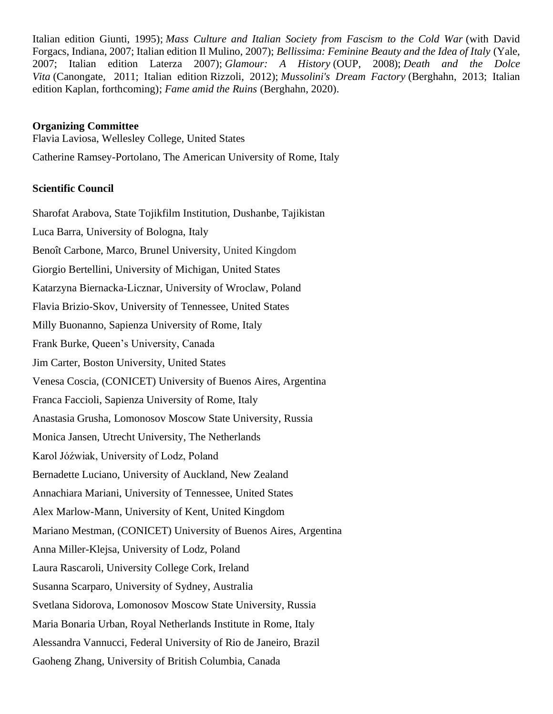Italian edition Giunti, 1995); *Mass Culture and Italian Society from Fascism to the Cold War* (with David Forgacs, Indiana, 2007; Italian edition Il Mulino, 2007); *Bellissima: Feminine Beauty and the Idea of Italy* (Yale, 2007; Italian edition Laterza 2007); *Glamour: A History* (OUP, 2008); *Death and the Dolce Vita* (Canongate, 2011; Italian edition Rizzoli, 2012); *Mussolini's Dream Factory* (Berghahn, 2013; Italian edition Kaplan, forthcoming); *Fame amid the Ruins* (Berghahn, 2020).

#### **Organizing Committee**

Flavia Laviosa, Wellesley College, United States Catherine Ramsey-Portolano, The American University of Rome, Italy

### **Scientific Council**

Sharofat Arabova, State Tojikfilm Institution, Dushanbe, Tajikistan Luca Barra, University of Bologna, Italy Benoît Carbone, Marco, Brunel University, United Kingdom Giorgio Bertellini, University of Michigan, United States Katarzyna Biernacka-Licznar, University of Wroclaw, Poland Flavia Brizio-Skov, University of Tennessee, United States Milly Buonanno, Sapienza University of Rome, Italy Frank Burke, Queen's University, Canada Jim Carter, Boston University, United States Venesa Coscia, (CONICET) University of Buenos Aires, Argentina Franca Faccioli, Sapienza University of Rome, Italy Anastasia Grusha, Lomonosov Moscow State University, Russia Monica Jansen, Utrecht University, The Netherlands Karol Jóźwiak, University of Lodz, Poland Bernadette Luciano, University of Auckland, New Zealand Annachiara Mariani, University of Tennessee, United States Alex Marlow-Mann, University of Kent, United Kingdom Mariano Mestman, (CONICET) University of Buenos Aires, Argentina Anna Miller-Klejsa, University of Lodz, Poland Laura Rascaroli, University College Cork, Ireland Susanna Scarparo, University of Sydney, Australia Svetlana Sidorova, Lomonosov Moscow State University, Russia Maria Bonaria Urban, Royal Netherlands Institute in Rome, Italy Alessandra Vannucci, Federal University of Rio de Janeiro, Brazil Gaoheng Zhang, University of British Columbia, Canada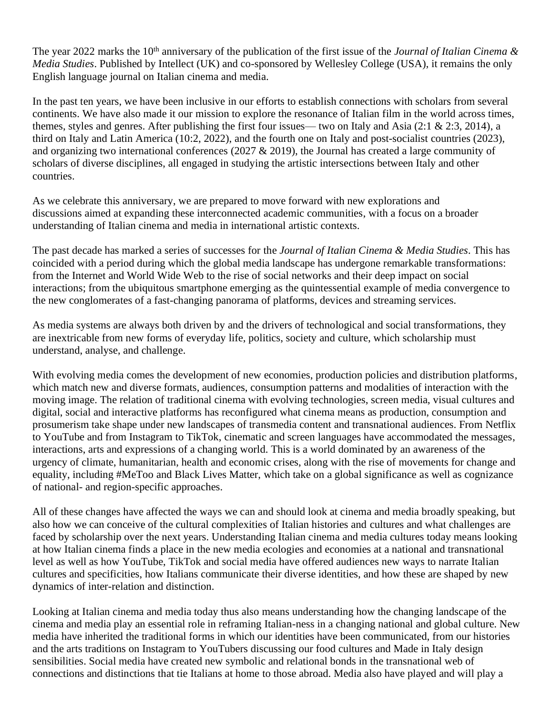The year 2022 marks the 10<sup>th</sup> anniversary of the publication of the first issue of the *Journal of Italian Cinema & Media Studies*. Published by Intellect (UK) and co-sponsored by Wellesley College (USA), it remains the only English language journal on Italian cinema and media.

In the past ten years, we have been inclusive in our efforts to establish connections with scholars from several continents. We have also made it our mission to explore the resonance of Italian film in the world across times, themes, styles and genres. After publishing the first four issues— two on Italy and Asia (2:1 & 2:3, 2014), a third on Italy and Latin America (10:2, 2022), and the fourth one on Italy and post-socialist countries (2023), and organizing two international conferences (2027 & 2019), the Journal has created a large community of scholars of diverse disciplines, all engaged in studying the artistic intersections between Italy and other countries.

As we celebrate this anniversary, we are prepared to move forward with new explorations and discussions aimed at expanding these interconnected academic communities, with a focus on a broader understanding of Italian cinema and media in international artistic contexts.

The past decade has marked a series of successes for the *Journal of Italian Cinema & Media Studies*. This has coincided with a period during which the global media landscape has undergone remarkable transformations: from the Internet and World Wide Web to the rise of social networks and their deep impact on social interactions; from the ubiquitous smartphone emerging as the quintessential example of media convergence to the new conglomerates of a fast-changing panorama of platforms, devices and streaming services.

As media systems are always both driven by and the drivers of technological and social transformations, they are inextricable from new forms of everyday life, politics, society and culture, which scholarship must understand, analyse, and challenge.

With evolving media comes the development of new economies, production policies and distribution platforms, which match new and diverse formats, audiences, consumption patterns and modalities of interaction with the moving image. The relation of traditional cinema with evolving technologies, screen media, visual cultures and digital, social and interactive platforms has reconfigured what cinema means as production, consumption and prosumerism take shape under new landscapes of transmedia content and transnational audiences. From Netflix to YouTube and from Instagram to TikTok, cinematic and screen languages have accommodated the messages, interactions, arts and expressions of a changing world. This is a world dominated by an awareness of the urgency of climate, humanitarian, health and economic crises, along with the rise of movements for change and equality, including #MeToo and Black Lives Matter, which take on a global significance as well as cognizance of national- and region-specific approaches.

All of these changes have affected the ways we can and should look at cinema and media broadly speaking, but also how we can conceive of the cultural complexities of Italian histories and cultures and what challenges are faced by scholarship over the next years. Understanding Italian cinema and media cultures today means looking at how Italian cinema finds a place in the new media ecologies and economies at a national and transnational level as well as how YouTube, TikTok and social media have offered audiences new ways to narrate Italian cultures and specificities, how Italians communicate their diverse identities, and how these are shaped by new dynamics of inter-relation and distinction.

Looking at Italian cinema and media today thus also means understanding how the changing landscape of the cinema and media play an essential role in reframing Italian-ness in a changing national and global culture. New media have inherited the traditional forms in which our identities have been communicated, from our histories and the arts traditions on Instagram to YouTubers discussing our food cultures and Made in Italy design sensibilities. Social media have created new symbolic and relational bonds in the transnational web of connections and distinctions that tie Italians at home to those abroad. Media also have played and will play a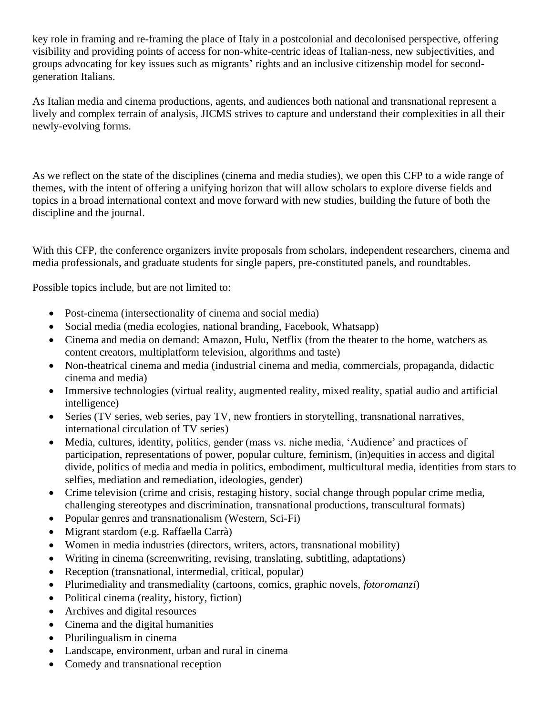key role in framing and re-framing the place of Italy in a postcolonial and decolonised perspective, offering visibility and providing points of access for non-white-centric ideas of Italian-ness, new subjectivities, and groups advocating for key issues such as migrants' rights and an inclusive citizenship model for secondgeneration Italians.

As Italian media and cinema productions, agents, and audiences both national and transnational represent a lively and complex terrain of analysis, JICMS strives to capture and understand their complexities in all their newly-evolving forms.

As we reflect on the state of the disciplines (cinema and media studies), we open this CFP to a wide range of themes, with the intent of offering a unifying horizon that will allow scholars to explore diverse fields and topics in a broad international context and move forward with new studies, building the future of both the discipline and the journal.

With this CFP, the conference organizers invite proposals from scholars, independent researchers, cinema and media professionals, and graduate students for single papers, pre-constituted panels, and roundtables.

Possible topics include, but are not limited to:

- Post-cinema (intersectionality of cinema and social media)
- Social media (media ecologies, national branding, Facebook, Whatsapp)
- Cinema and media on demand: Amazon, Hulu, Netflix (from the theater to the home, watchers as content creators, multiplatform television, algorithms and taste)
- Non-theatrical cinema and media (industrial cinema and media, commercials, propaganda, didactic cinema and media)
- Immersive technologies (virtual reality, augmented reality, mixed reality, spatial audio and artificial intelligence)
- Series (TV series, web series, pay TV, new frontiers in storytelling, transnational narratives, international circulation of TV series)
- Media, cultures, identity, politics, gender (mass vs. niche media, 'Audience' and practices of participation, representations of power, popular culture, feminism, (in)equities in access and digital divide, politics of media and media in politics, embodiment, multicultural media, identities from stars to selfies, mediation and remediation, ideologies, gender)
- Crime television (crime and crisis, restaging history, social change through popular crime media, challenging stereotypes and discrimination, transnational productions, transcultural formats)
- Popular genres and transnationalism (Western, Sci-Fi)
- Migrant stardom (e.g. Raffaella Carrà)
- Women in media industries (directors, writers, actors, transnational mobility)
- Writing in cinema (screenwriting, revising, translating, subtitling, adaptations)
- Reception (transnational, intermedial, critical, popular)
- Plurimediality and transmediality (cartoons, comics, graphic novels, *fotoromanzi*)
- Political cinema (reality, history, fiction)
- Archives and digital resources
- Cinema and the digital humanities
- Plurilingualism in cinema
- Landscape, environment, urban and rural in cinema
- Comedy and transnational reception